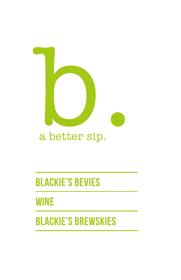

### a better sip.

## **BLACKIE'S BEVIES**

**WINE**

## **BLACKIE'S BREWSKIES**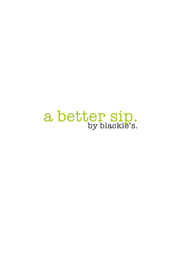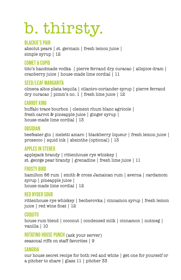# b. thirsty.

#### **Blackie's Pair**

absolut pears | st. germain | fresh lemon juice | simple syrup | 12

#### **Comet & Cupid**

tito's handmade vodka | pierre ferrand dry curacao | allspice dram | cranberry juice | house-made lime cordial | 11

#### **SeEd/Leaf Margarita**

olmeca altos plata tequila | cilantro-coriander syrup | pierre ferrand dry curacao | pimm's no. 1 | fresh lime juice | 12

#### **Carrot King**

buffalo trace bourbon | clement rhum blanc agricole | fresh carrot & pineapple juice | ginger syrup | house-made lime cordial | 13

#### **Obsidian**

beefeater gin | meletti amaro | blackberry liqueur | fresh lemon juice | prosecco | squid ink | absinthe (optional) | 13

#### **Apples In Stereo**

applejack brandy | rittenhouse rye whiskey | st. george pear brandy | grenadine | fresh lime juice | 11

#### **Frosty Bird**

hamilton 86 rum | smith & cross Jamaican rum | averna | cardamom syrup | pineapple juice | house-made lime cordial | 12

#### **Red Ryder Sour**

rittenhouse rye whiskey | becherovka | cinnamon syrup | fresh lemon juice | red wine float | 12

#### **Coquito**

house rum blend | coconut | condensed milk | cinnamon | nutmeg | vanilla | 10

**Rotating House Punch** (ask your server) seasonal riffs on staff favorites | 9

#### **sangria**

our house secret recipe for both red and white | get one for yourself or a pitcher to share | glass 11 | pitcher 33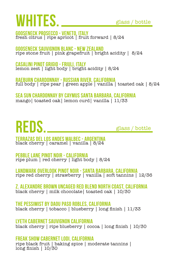# WHITES **glass** / bottle

**gooseneck prosecco - veneto, italy** fresh citrus | ripe apricot | fruit forward | 8/24

**gooseneck sauvignon blanc - new zealand**  ripe stone fruit | pink grapefruit | bright acidity | 8/24

**casalini pinot grigio - friuli, italy** lemon zest | light body | bright acidity | 8/24

**raeburn chardonnay - russian river, california**  full body | ripe pear | green apple | vanilla | toasted oak | 8/24

**Sea Sun Chardonnay by Caymus Santa Barbara, California**  mango| toasted oak| lemon curd| vanilla | 11/33

# **REDS.**

glass / bottle

**terrazas del los andes malbec - argentina** black cherry | caramel | vanilla | 8/24

**pebble lane pinot noir - california**  ripe plum | red cherry | light body | 8/24

**landmark overlook pinot noir - santa barbara, california** ripe red cherry | strawberry | vanilla | soft tannins | 12/36

**Z. Alexandre Brown Uncaged Red Blend North Coast, California** black cherry | milk chocolate| toasted oak | 10/30

**The Pessimist by Daou Paso Robles, California** black cherry | tobacco | blueberry | long finish | 11/33

**Lyeth Cabernet Sauvignon California** black cherry | ripe blueberry | cocoa | long finish | 10/30

**Freak Show Cabernet Lodi, California**  ripe black fruit | baking spice | moderate tannins | long finish | 10/30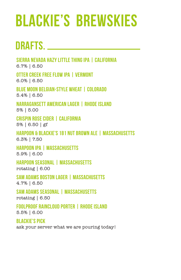# **BLACKIE'S BREWSKIES**

## **DRAFTS.**

**Sierra Nevada Hazy Little Thing IPA | California**

6.7% | 6.50

**Otter Creek Free Flow IPA | Vermont** 6.0% | 6.50

**Blue Moon Belgian-Style Wheat | Colorado** 5.4% | 6.50

**Narragansett American Lager | Rhode Island** 5% | 5.00

**Crispin Rose Cider | California** 5% | 6.50 | gf

**Harpoon & Blackie's 181 Nut Brown Ale | Massachusetts**  6.3% | 7.50

**Harpoon IPA | Massachusetts** 5.9% | 6.00

**Harpoon Seasonal | Massachusetts** rotating | 6.00

**Sam Adams Boston Lager | Massachusetts** 4.7% | 6.50

**Sam Adams Seasonal | Massachusetts** rotating | 6.50

**Foolproof Raincloud Porter | Rhode Island**  5.5% | 6.00

**Blackie's Pick** ask your server what we are pouring today!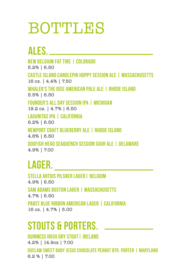# **BOTTLES**

## **ALES.**

**new belgium fat tire | colorado** 

5.2% | 6.50

**castle island candlepin hoppy session ale | massachusetts**  16 oz. | 4.4% | 7.50

**whaler's the rise american pale ale | rhode island** 5.5% | 6.50

**founder's all day session ipa | michigan** 19.2 oz. | 4.7% | 6.50

**lagunitas ipa | california** 6.2% | 6.50

**newport craft blueberry ale | rhode island** 4.6% | 6.50

**dogfish head seaquench session sour ale | delaware** 4.9% | 7.00

### **lager.**

**stella artois pilsner lager| belgium** 4.9% | 6.50 **sam adams boston lager | MASSACHUSETTS**  4.7% | 6.50

**pabst blue ribbon American lager | california** 16 oz. | 4.7% | 5.00

## **STOUTS & porters.**

**GUINNESS IRISH DRY STOUT | IRELAND** 

4.2% | 14.9oz | 7.00

**duclaw sweet baby jesus chocolate peanut btr. porter | mARYLAND** 6.2 % | 7.00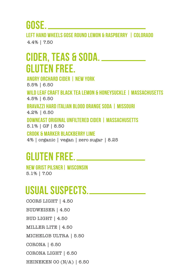**gose.**

**left hand wheels gose round lemon & raspberry | colorado**  4.4% | 7.50

### **cider, teas & soda. Gluten free.**

**angry orchard cider | new york**  5.5% | 6.50

**wild leaf craft black tea lemon & honeysuckle | massachusetts**  4.5% | 6.50

**Bravazzi hard italian blood orange soda | missouri** 

4.2% | 6.50

**DOWNEAST ORIGINAL UNFILTERED CIDER | massachusetts** 5.1% | GF | 8.50

**crook & marker blackberry lime**  4% | organic | vegan | zero sugar | 8.25

### **Gluten free.**

**new grist pilsner| wisconsin** 5.1% | 7.00

### **USUAL SUSPECTS.**

COORS LIGHT | 4.50 BUDWEISER | 4.50 BUD LIGHT | 4.50 MILLER LITE | 4.50 MICHELOB ULTRA | 5.50 CORONA | 6.50 CORONA LIGHT | 6.50 HEINEKEN 00 (N/A) | 6.50